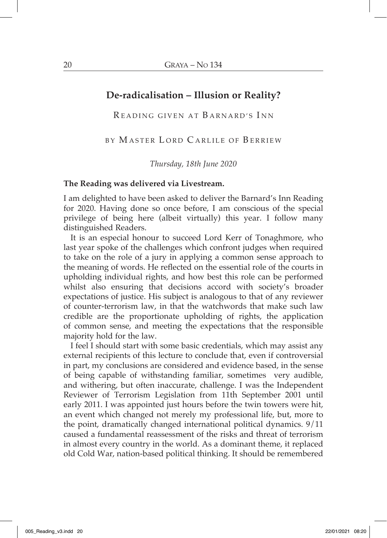## **De-radicalisation – Illusion or Reality?**

READING GIVEN AT BARNARD'S INN

BY MASTER LORD CARLILE OF BERRIEW

*Thursday, 18th June 2020*

#### **The Reading was delivered via Livestream.**

I am delighted to have been asked to deliver the Barnard's Inn Reading for 2020. Having done so once before, I am conscious of the special privilege of being here (albeit virtually) this year. I follow many distinguished Readers.

It is an especial honour to succeed Lord Kerr of Tonaghmore, who last year spoke of the challenges which confront judges when required to take on the role of a jury in applying a common sense approach to the meaning of words. He reflected on the essential role of the courts in upholding individual rights, and how best this role can be performed whilst also ensuring that decisions accord with society's broader expectations of justice. His subject is analogous to that of any reviewer of counter-terrorism law, in that the watchwords that make such law credible are the proportionate upholding of rights, the application of common sense, and meeting the expectations that the responsible majority hold for the law.

I feel I should start with some basic credentials, which may assist any external recipients of this lecture to conclude that, even if controversial in part, my conclusions are considered and evidence based, in the sense of being capable of withstanding familiar, sometimes very audible, and withering, but often inaccurate, challenge. I was the Independent Reviewer of Terrorism Legislation from 11th September 2001 until early 2011. I was appointed just hours before the twin towers were hit, an event which changed not merely my professional life, but, more to the point, dramatically changed international political dynamics. 9/11 caused a fundamental reassessment of the risks and threat of terrorism in almost every country in the world. As a dominant theme, it replaced old Cold War, nation-based political thinking. It should be remembered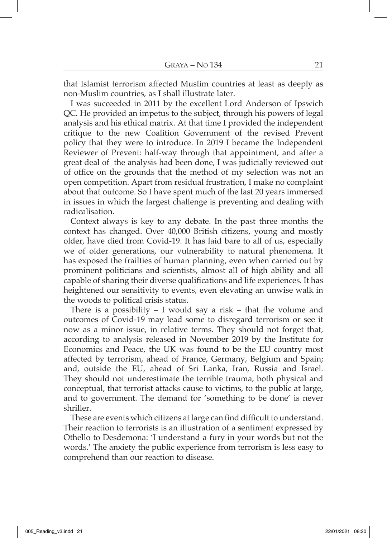that Islamist terrorism affected Muslim countries at least as deeply as non-Muslim countries, as I shall illustrate later.

I was succeeded in 2011 by the excellent Lord Anderson of Ipswich QC. He provided an impetus to the subject, through his powers of legal analysis and his ethical matrix. At that time I provided the independent critique to the new Coalition Government of the revised Prevent policy that they were to introduce. In 2019 I became the Independent Reviewer of Prevent: half-way through that appointment, and after a great deal of the analysis had been done, I was judicially reviewed out of office on the grounds that the method of my selection was not an open competition. Apart from residual frustration, I make no complaint about that outcome. So I have spent much of the last 20 years immersed in issues in which the largest challenge is preventing and dealing with radicalisation.

Context always is key to any debate. In the past three months the context has changed. Over 40,000 British citizens, young and mostly older, have died from Covid-19. It has laid bare to all of us, especially we of older generations, our vulnerability to natural phenomena. It has exposed the frailties of human planning, even when carried out by prominent politicians and scientists, almost all of high ability and all capable of sharing their diverse qualifications and life experiences. It has heightened our sensitivity to events, even elevating an unwise walk in the woods to political crisis status.

There is a possibility – I would say a risk – that the volume and outcomes of Covid-19 may lead some to disregard terrorism or see it now as a minor issue, in relative terms. They should not forget that, according to analysis released in November 2019 by the Institute for Economics and Peace, the UK was found to be the EU country most affected by terrorism, ahead of France, Germany, Belgium and Spain; and, outside the EU, ahead of Sri Lanka, Iran, Russia and Israel. They should not underestimate the terrible trauma, both physical and conceptual, that terrorist attacks cause to victims, to the public at large, and to government. The demand for 'something to be done' is never shriller.

These are events which citizens at large can find difficult to understand. Their reaction to terrorists is an illustration of a sentiment expressed by Othello to Desdemona: 'I understand a fury in your words but not the words.' The anxiety the public experience from terrorism is less easy to comprehend than our reaction to disease.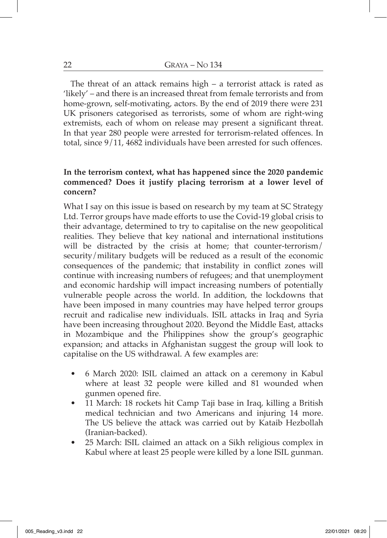The threat of an attack remains high – a terrorist attack is rated as 'likely' – and there is an increased threat from female terrorists and from home-grown, self-motivating, actors. By the end of 2019 there were 231 UK prisoners categorised as terrorists, some of whom are right-wing extremists, each of whom on release may present a significant threat. In that year 280 people were arrested for terrorism-related offences. In total, since 9/11, 4682 individuals have been arrested for such offences.

# **In the terrorism context, what has happened since the 2020 pandemic commenced? Does it justify placing terrorism at a lower level of concern?**

What I say on this issue is based on research by my team at SC Strategy Ltd. Terror groups have made efforts to use the Covid-19 global crisis to their advantage, determined to try to capitalise on the new geopolitical realities. They believe that key national and international institutions will be distracted by the crisis at home; that counter-terrorism/ security/military budgets will be reduced as a result of the economic consequences of the pandemic; that instability in conflict zones will continue with increasing numbers of refugees; and that unemployment and economic hardship will impact increasing numbers of potentially vulnerable people across the world. In addition, the lockdowns that have been imposed in many countries may have helped terror groups recruit and radicalise new individuals. ISIL attacks in Iraq and Syria have been increasing throughout 2020. Beyond the Middle East, attacks in Mozambique and the Philippines show the group's geographic expansion; and attacks in Afghanistan suggest the group will look to capitalise on the US withdrawal. A few examples are:

- 6 March 2020: ISIL claimed an attack on a ceremony in Kabul where at least 32 people were killed and 81 wounded when gunmen opened fire.
- 11 March: 18 rockets hit Camp Taji base in Iraq, killing a British medical technician and two Americans and injuring 14 more. The US believe the attack was carried out by Kataib Hezbollah (Iranian-backed).
- 25 March: ISIL claimed an attack on a Sikh religious complex in Kabul where at least 25 people were killed by a lone ISIL gunman.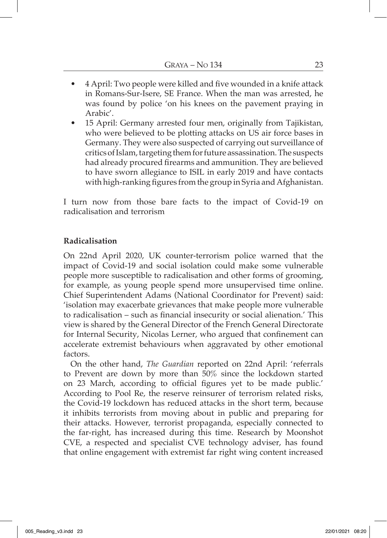- 4 April: Two people were killed and five wounded in a knife attack in Romans-Sur-Isere, SE France. When the man was arrested, he was found by police 'on his knees on the pavement praying in Arabic'.
- 15 April: Germany arrested four men, originally from Tajikistan, who were believed to be plotting attacks on US air force bases in Germany. They were also suspected of carrying out surveillance of critics of Islam, targeting them for future assassination. The suspects had already procured firearms and ammunition. They are believed to have sworn allegiance to ISIL in early 2019 and have contacts with high-ranking figures from the group in Syria and Afghanistan.

I turn now from those bare facts to the impact of Covid-19 on radicalisation and terrorism

### **Radicalisation**

On 22nd April 2020, UK counter-terrorism police warned that the impact of Covid-19 and social isolation could make some vulnerable people more susceptible to radicalisation and other forms of grooming, for example, as young people spend more unsupervised time online. Chief Superintendent Adams (National Coordinator for Prevent) said: 'isolation may exacerbate grievances that make people more vulnerable to radicalisation – such as financial insecurity or social alienation.' This view is shared by the General Director of the French General Directorate for Internal Security, Nicolas Lerner, who argued that confinement can accelerate extremist behaviours when aggravated by other emotional factors.

On the other hand, *The Guardian* reported on 22nd April: 'referrals to Prevent are down by more than 50% since the lockdown started on 23 March, according to official figures yet to be made public.' According to Pool Re, the reserve reinsurer of terrorism related risks, the Covid-19 lockdown has reduced attacks in the short term, because it inhibits terrorists from moving about in public and preparing for their attacks. However, terrorist propaganda, especially connected to the far-right, has increased during this time. Research by Moonshot CVE, a respected and specialist CVE technology adviser, has found that online engagement with extremist far right wing content increased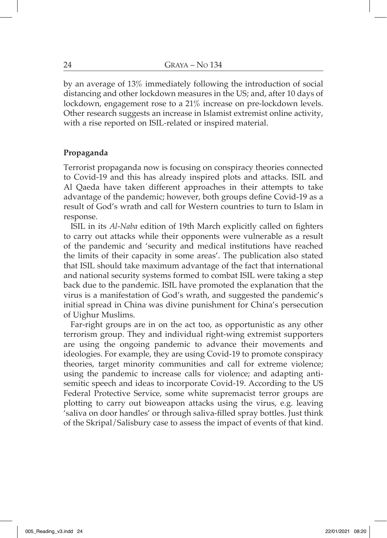by an average of 13% immediately following the introduction of social distancing and other lockdown measures in the US; and, after 10 days of lockdown, engagement rose to a 21% increase on pre-lockdown levels. Other research suggests an increase in Islamist extremist online activity, with a rise reported on ISIL-related or inspired material.

### **Propaganda**

Terrorist propaganda now is focusing on conspiracy theories connected to Covid-19 and this has already inspired plots and attacks. ISIL and Al Qaeda have taken different approaches in their attempts to take advantage of the pandemic; however, both groups define Covid-19 as a result of God's wrath and call for Western countries to turn to Islam in response.

ISIL in its *Al-Naba* edition of 19th March explicitly called on fighters to carry out attacks while their opponents were vulnerable as a result of the pandemic and 'security and medical institutions have reached the limits of their capacity in some areas'. The publication also stated that ISIL should take maximum advantage of the fact that international and national security systems formed to combat ISIL were taking a step back due to the pandemic. ISIL have promoted the explanation that the virus is a manifestation of God's wrath, and suggested the pandemic's initial spread in China was divine punishment for China's persecution of Uighur Muslims.

Far-right groups are in on the act too, as opportunistic as any other terrorism group. They and individual right-wing extremist supporters are using the ongoing pandemic to advance their movements and ideologies. For example, they are using Covid-19 to promote conspiracy theories, target minority communities and call for extreme violence; using the pandemic to increase calls for violence; and adapting antisemitic speech and ideas to incorporate Covid-19. According to the US Federal Protective Service, some white supremacist terror groups are plotting to carry out bioweapon attacks using the virus, e.g. leaving 'saliva on door handles' or through saliva-filled spray bottles. Just think of the Skripal/Salisbury case to assess the impact of events of that kind.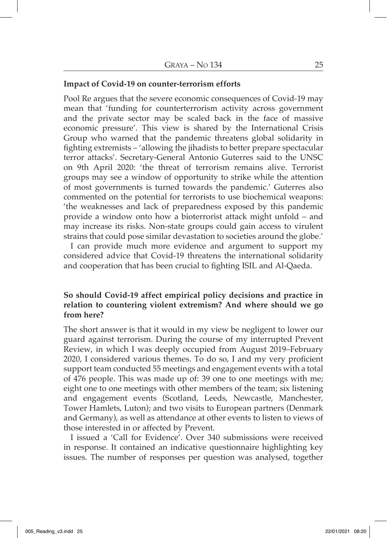### **Impact of Covid-19 on counter-terrorism efforts**

Pool Re argues that the severe economic consequences of Covid-19 may mean that 'funding for counterterrorism activity across government and the private sector may be scaled back in the face of massive economic pressure'. This view is shared by the International Crisis Group who warned that the pandemic threatens global solidarity in fighting extremists – 'allowing the jihadists to better prepare spectacular terror attacks'. Secretary-General Antonio Guterres said to the UNSC on 9th April 2020: 'the threat of terrorism remains alive. Terrorist groups may see a window of opportunity to strike while the attention of most governments is turned towards the pandemic.' Guterres also commented on the potential for terrorists to use biochemical weapons: 'the weaknesses and lack of preparedness exposed by this pandemic provide a window onto how a bioterrorist attack might unfold – and may increase its risks. Non-state groups could gain access to virulent strains that could pose similar devastation to societies around the globe.'

I can provide much more evidence and argument to support my considered advice that Covid-19 threatens the international solidarity and cooperation that has been crucial to fighting ISIL and Al-Qaeda.

## **So should Covid-19 affect empirical policy decisions and practice in relation to countering violent extremism? And where should we go from here?**

The short answer is that it would in my view be negligent to lower our guard against terrorism. During the course of my interrupted Prevent Review, in which I was deeply occupied from August 2019–February 2020, I considered various themes. To do so, I and my very proficient support team conducted 55 meetings and engagement events with a total of 476 people. This was made up of: 39 one to one meetings with me; eight one to one meetings with other members of the team; six listening and engagement events (Scotland, Leeds, Newcastle, Manchester, Tower Hamlets, Luton); and two visits to European partners (Denmark and Germany), as well as attendance at other events to listen to views of those interested in or affected by Prevent.

I issued a 'Call for Evidence'. Over 340 submissions were received in response. It contained an indicative questionnaire highlighting key issues. The number of responses per question was analysed, together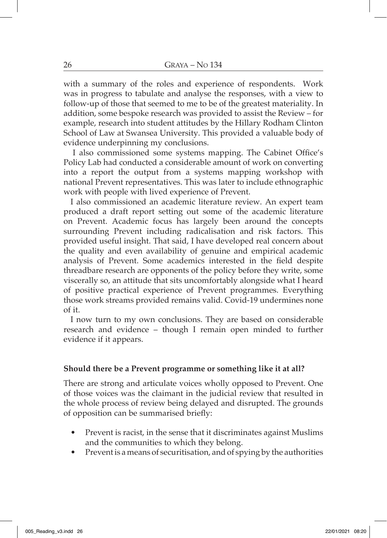with a summary of the roles and experience of respondents. Work was in progress to tabulate and analyse the responses, with a view to follow-up of those that seemed to me to be of the greatest materiality. In addition, some bespoke research was provided to assist the Review – for example, research into student attitudes by the Hillary Rodham Clinton School of Law at Swansea University. This provided a valuable body of evidence underpinning my conclusions.

I also commissioned some systems mapping. The Cabinet Office's Policy Lab had conducted a considerable amount of work on converting into a report the output from a systems mapping workshop with national Prevent representatives. This was later to include ethnographic work with people with lived experience of Prevent.

I also commissioned an academic literature review. An expert team produced a draft report setting out some of the academic literature on Prevent. Academic focus has largely been around the concepts surrounding Prevent including radicalisation and risk factors. This provided useful insight. That said, I have developed real concern about the quality and even availability of genuine and empirical academic analysis of Prevent. Some academics interested in the field despite threadbare research are opponents of the policy before they write, some viscerally so, an attitude that sits uncomfortably alongside what I heard of positive practical experience of Prevent programmes. Everything those work streams provided remains valid. Covid-19 undermines none of it.

I now turn to my own conclusions. They are based on considerable research and evidence – though I remain open minded to further evidence if it appears.

### **Should there be a Prevent programme or something like it at all?**

There are strong and articulate voices wholly opposed to Prevent. One of those voices was the claimant in the judicial review that resulted in the whole process of review being delayed and disrupted. The grounds of opposition can be summarised briefly:

- Prevent is racist, in the sense that it discriminates against Muslims and the communities to which they belong.
- Prevent is a means of securitisation, and of spying by the authorities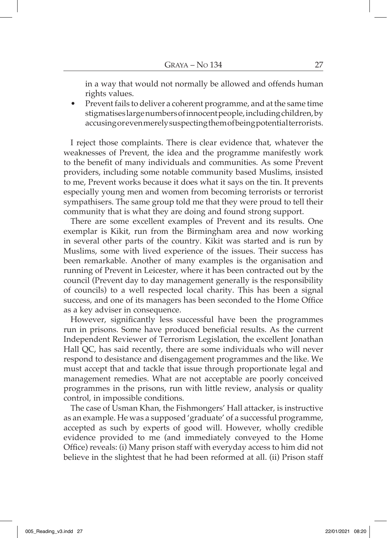in a way that would not normally be allowed and offends human rights values.

• Prevent fails to deliver a coherent programme, and at the same time stigmatises large numbers of innocent people, including children, by accusing or even merely suspecting them of being potential terrorists.

I reject those complaints. There is clear evidence that, whatever the weaknesses of Prevent, the idea and the programme manifestly work to the benefit of many individuals and communities. As some Prevent providers, including some notable community based Muslims, insisted to me, Prevent works because it does what it says on the tin. It prevents especially young men and women from becoming terrorists or terrorist sympathisers. The same group told me that they were proud to tell their community that is what they are doing and found strong support.

There are some excellent examples of Prevent and its results. One exemplar is Kikit, run from the Birmingham area and now working in several other parts of the country. Kikit was started and is run by Muslims, some with lived experience of the issues. Their success has been remarkable. Another of many examples is the organisation and running of Prevent in Leicester, where it has been contracted out by the council (Prevent day to day management generally is the responsibility of councils) to a well respected local charity. This has been a signal success, and one of its managers has been seconded to the Home Office as a key adviser in consequence.

However, significantly less successful have been the programmes run in prisons. Some have produced beneficial results. As the current Independent Reviewer of Terrorism Legislation, the excellent Jonathan Hall QC, has said recently, there are some individuals who will never respond to desistance and disengagement programmes and the like. We must accept that and tackle that issue through proportionate legal and management remedies. What are not acceptable are poorly conceived programmes in the prisons, run with little review, analysis or quality control, in impossible conditions.

The case of Usman Khan, the Fishmongers' Hall attacker, is instructive as an example. He was a supposed 'graduate' of a successful programme, accepted as such by experts of good will. However, wholly credible evidence provided to me (and immediately conveyed to the Home Office) reveals: (i) Many prison staff with everyday access to him did not believe in the slightest that he had been reformed at all. (ii) Prison staff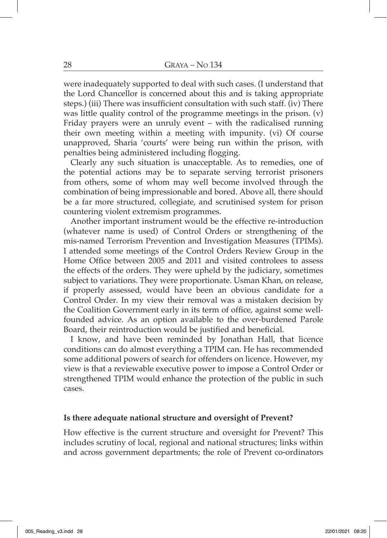were inadequately supported to deal with such cases. (I understand that the Lord Chancellor is concerned about this and is taking appropriate steps.) (iii) There was insufficient consultation with such staff. (iv) There was little quality control of the programme meetings in the prison. (v) Friday prayers were an unruly event – with the radicalised running their own meeting within a meeting with impunity. (vi) Of course unapproved, Sharia 'courts' were being run within the prison, with penalties being administered including flogging.

Clearly any such situation is unacceptable. As to remedies, one of the potential actions may be to separate serving terrorist prisoners from others, some of whom may well become involved through the combination of being impressionable and bored. Above all, there should be a far more structured, collegiate, and scrutinised system for prison countering violent extremism programmes.

Another important instrument would be the effective re-introduction (whatever name is used) of Control Orders or strengthening of the mis-named Terrorism Prevention and Investigation Measures (TPIMs). I attended some meetings of the Control Orders Review Group in the Home Office between 2005 and 2011 and visited controlees to assess the effects of the orders. They were upheld by the judiciary, sometimes subject to variations. They were proportionate. Usman Khan, on release, if properly assessed, would have been an obvious candidate for a Control Order. In my view their removal was a mistaken decision by the Coalition Government early in its term of office, against some wellfounded advice. As an option available to the over-burdened Parole Board, their reintroduction would be justified and beneficial.

I know, and have been reminded by Jonathan Hall, that licence conditions can do almost everything a TPIM can. He has recommended some additional powers of search for offenders on licence. However, my view is that a reviewable executive power to impose a Control Order or strengthened TPIM would enhance the protection of the public in such cases.

#### **Is there adequate national structure and oversight of Prevent?**

How effective is the current structure and oversight for Prevent? This includes scrutiny of local, regional and national structures; links within and across government departments; the role of Prevent co-ordinators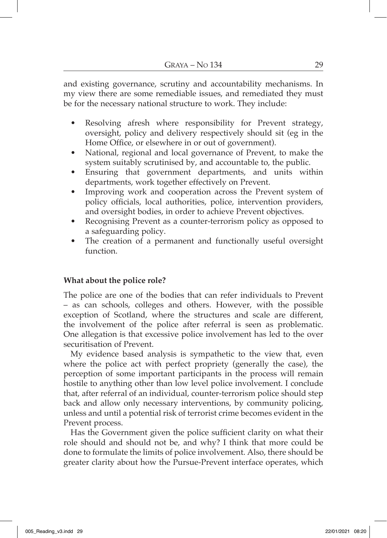and existing governance, scrutiny and accountability mechanisms. In my view there are some remediable issues, and remediated they must be for the necessary national structure to work. They include:

- Resolving afresh where responsibility for Prevent strategy, oversight, policy and delivery respectively should sit (eg in the Home Office, or elsewhere in or out of government).
- National, regional and local governance of Prevent, to make the system suitably scrutinised by, and accountable to, the public.
- Ensuring that government departments, and units within departments, work together effectively on Prevent.
- Improving work and cooperation across the Prevent system of policy officials, local authorities, police, intervention providers, and oversight bodies, in order to achieve Prevent objectives.
- Recognising Prevent as a counter-terrorism policy as opposed to a safeguarding policy.
- The creation of a permanent and functionally useful oversight function.

## **What about the police role?**

The police are one of the bodies that can refer individuals to Prevent – as can schools, colleges and others. However, with the possible exception of Scotland, where the structures and scale are different, the involvement of the police after referral is seen as problematic. One allegation is that excessive police involvement has led to the over securitisation of Prevent.

My evidence based analysis is sympathetic to the view that, even where the police act with perfect propriety (generally the case), the perception of some important participants in the process will remain hostile to anything other than low level police involvement. I conclude that, after referral of an individual, counter-terrorism police should step back and allow only necessary interventions, by community policing, unless and until a potential risk of terrorist crime becomes evident in the Prevent process.

Has the Government given the police sufficient clarity on what their role should and should not be, and why? I think that more could be done to formulate the limits of police involvement. Also, there should be greater clarity about how the Pursue-Prevent interface operates, which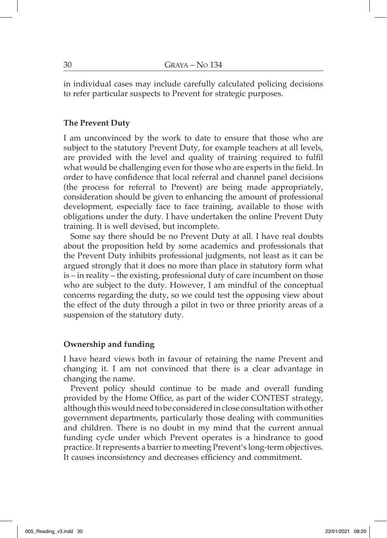in individual cases may include carefully calculated policing decisions to refer particular suspects to Prevent for strategic purposes.

### **The Prevent Duty**

I am unconvinced by the work to date to ensure that those who are subject to the statutory Prevent Duty, for example teachers at all levels, are provided with the level and quality of training required to fulfil what would be challenging even for those who are experts in the field. In order to have confidence that local referral and channel panel decisions (the process for referral to Prevent) are being made appropriately, consideration should be given to enhancing the amount of professional development, especially face to face training, available to those with obligations under the duty. I have undertaken the online Prevent Duty training. It is well devised, but incomplete.

Some say there should be no Prevent Duty at all. I have real doubts about the proposition held by some academics and professionals that the Prevent Duty inhibits professional judgments, not least as it can be argued strongly that it does no more than place in statutory form what is – in reality – the existing, professional duty of care incumbent on those who are subject to the duty. However, I am mindful of the conceptual concerns regarding the duty, so we could test the opposing view about the effect of the duty through a pilot in two or three priority areas of a suspension of the statutory duty.

#### **Ownership and funding**

I have heard views both in favour of retaining the name Prevent and changing it. I am not convinced that there is a clear advantage in changing the name.

Prevent policy should continue to be made and overall funding provided by the Home Office, as part of the wider CONTEST strategy, although this would need to be considered in close consultation with other government departments, particularly those dealing with communities and children. There is no doubt in my mind that the current annual funding cycle under which Prevent operates is a hindrance to good practice. It represents a barrier to meeting Prevent's long-term objectives. It causes inconsistency and decreases efficiency and commitment.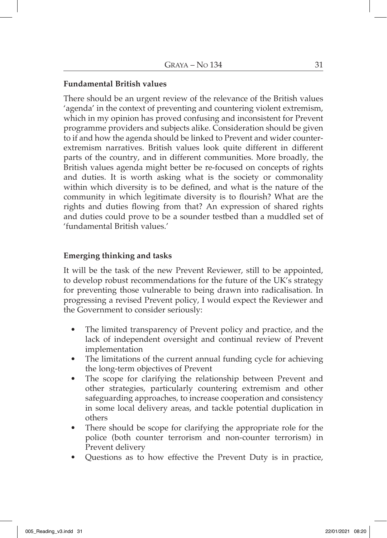## **Fundamental British values**

There should be an urgent review of the relevance of the British values 'agenda' in the context of preventing and countering violent extremism, which in my opinion has proved confusing and inconsistent for Prevent programme providers and subjects alike. Consideration should be given to if and how the agenda should be linked to Prevent and wider counterextremism narratives. British values look quite different in different parts of the country, and in different communities. More broadly, the British values agenda might better be re-focused on concepts of rights and duties. It is worth asking what is the society or commonality within which diversity is to be defined, and what is the nature of the community in which legitimate diversity is to flourish? What are the rights and duties flowing from that? An expression of shared rights and duties could prove to be a sounder testbed than a muddled set of 'fundamental British values.'

## **Emerging thinking and tasks**

It will be the task of the new Prevent Reviewer, still to be appointed, to develop robust recommendations for the future of the UK's strategy for preventing those vulnerable to being drawn into radicalisation. In progressing a revised Prevent policy, I would expect the Reviewer and the Government to consider seriously:

- The limited transparency of Prevent policy and practice, and the lack of independent oversight and continual review of Prevent implementation
- The limitations of the current annual funding cycle for achieving the long-term objectives of Prevent
- The scope for clarifying the relationship between Prevent and other strategies, particularly countering extremism and other safeguarding approaches, to increase cooperation and consistency in some local delivery areas, and tackle potential duplication in others
- There should be scope for clarifying the appropriate role for the police (both counter terrorism and non-counter terrorism) in Prevent delivery
- Questions as to how effective the Prevent Duty is in practice,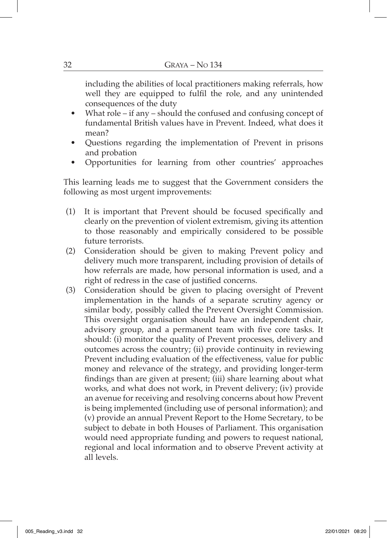including the abilities of local practitioners making referrals, how well they are equipped to fulfil the role, and any unintended consequences of the duty

- What role if any should the confused and confusing concept of fundamental British values have in Prevent. Indeed, what does it mean?
- Questions regarding the implementation of Prevent in prisons and probation
- Opportunities for learning from other countries' approaches

This learning leads me to suggest that the Government considers the following as most urgent improvements:

- (1) It is important that Prevent should be focused specifically and clearly on the prevention of violent extremism, giving its attention to those reasonably and empirically considered to be possible future terrorists.
- (2) Consideration should be given to making Prevent policy and delivery much more transparent, including provision of details of how referrals are made, how personal information is used, and a right of redress in the case of justified concerns.
- (3) Consideration should be given to placing oversight of Prevent implementation in the hands of a separate scrutiny agency or similar body, possibly called the Prevent Oversight Commission. This oversight organisation should have an independent chair, advisory group, and a permanent team with five core tasks. It should: (i) monitor the quality of Prevent processes, delivery and outcomes across the country; (ii) provide continuity in reviewing Prevent including evaluation of the effectiveness, value for public money and relevance of the strategy, and providing longer-term findings than are given at present; (iii) share learning about what works, and what does not work, in Prevent delivery; (iv) provide an avenue for receiving and resolving concerns about how Prevent is being implemented (including use of personal information); and (v) provide an annual Prevent Report to the Home Secretary, to be subject to debate in both Houses of Parliament. This organisation would need appropriate funding and powers to request national, regional and local information and to observe Prevent activity at all levels.